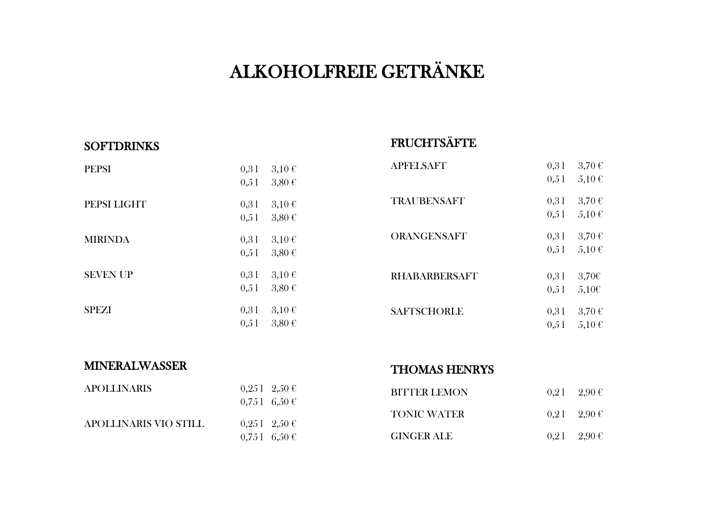# ALKOHOLFREIE GETRÄNKE

#### **SOFTDRINKS**

## **FRUCHTSÄFTE**

| <b>PEPSI</b>    | 0,31<br>0,51 | $3,10 \in$<br>$3,80 \in$ |
|-----------------|--------------|--------------------------|
| PEPSI LIGHT     | 0,31<br>0,51 | $3,10 \in$<br>$3,80 \in$ |
| <b>MIRINDA</b>  | 0,31<br>0,51 | $3,10 \in$<br>$3,80 \in$ |
| <b>SEVEN UP</b> | 0,31<br>0,51 | $3,10 \in$<br>$3,80 \in$ |
| <b>SPEZI</b>    | 0,31<br>0,51 | $3,10 \in$<br>3,80€      |

| <b>APFELSAFT</b>   | 0,31<br>0,51 | 3,70€<br>$5,10 \in$      |
|--------------------|--------------|--------------------------|
| <b>TRAUBENSAFT</b> | 0,31<br>0,51 | $3,70 \in$<br>$5,10 \in$ |
| <b>ORANGENSAFT</b> | 0,31<br>0,51 | 3,70€<br>$5,10 \in$      |
| RHABARBERSAFT      | 0,31<br>0,51 | $3,70$ €<br>5,100        |
| <b>SAFTSCHORLE</b> | 0,31<br>0,51 | 3,70€<br>$5,10 \in$      |

### MINERALWASSER

### THOMAS HENRYS

| <b>APOLLINARIS</b>    | $0,251 \quad 2,50 \in$ |
|-----------------------|------------------------|
|                       | $0,751 \quad 6,50 \in$ |
| APOLLINARIS VIO STILL | $0,251 \quad 2,50 \in$ |
|                       | $0,751 \quad 6,50 \in$ |

| <b>BITTER LEMON</b> | $0,21$ $2,90 \in$ |
|---------------------|-------------------|
| <b>TONIC WATER</b>  | $0,21$ $2,90 \in$ |
| <b>GINGER ALE</b>   | $0,21$ $2,90 \in$ |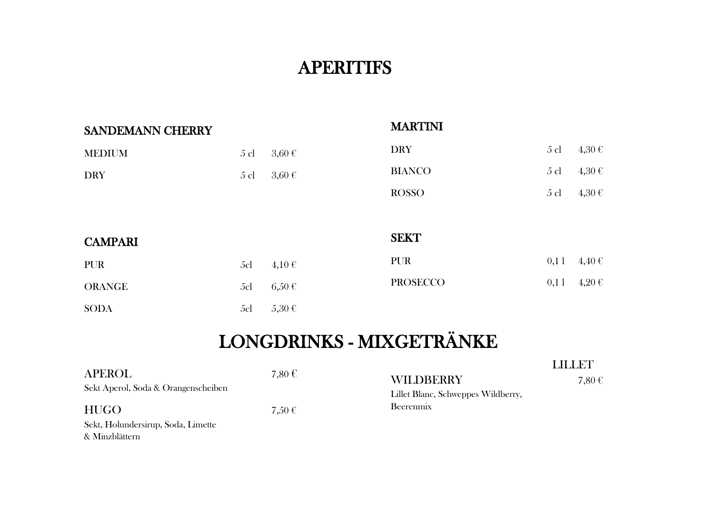## **APERITIFS**

| SANDEMANN CHERRY |        |            | <b>MARTINI</b>  |                |            |
|------------------|--------|------------|-----------------|----------------|------------|
| <b>MEDIUM</b>    | $5$ cl | $3,60 \in$ | <b>DRY</b>      | $5$ cl         | $4,30 \in$ |
| <b>DRY</b>       | $5$ cl | $3,60 \in$ | <b>BIANCO</b>   | $5 \text{ cl}$ | $4,30 \in$ |
|                  |        |            | <b>ROSSO</b>    | $5$ cl         | 4,30€      |
|                  |        |            |                 |                |            |
| <b>CAMPARI</b>   |        |            | <b>SEKT</b>     |                |            |
| <b>PUR</b>       | 5cl    | $4,10 \in$ | <b>PUR</b>      | 0,11           | $4,40 \in$ |
| <b>ORANGE</b>    | 5cl    | $6,50 \in$ | <b>PROSECCO</b> | 0,11           | $4,20 \in$ |
| <b>SODA</b>      | 5cl    | $5,30 \in$ |                 |                |            |

# LONGDRINKS - MIXGETRÄNKE

|                                     |        |                                    | I AN AO MA |
|-------------------------------------|--------|------------------------------------|------------|
| <b>APEROL</b>                       | 7,80 € | <b>WILDBERRY</b>                   | 7,80€      |
| Sekt Aperol, Soda & Orangenscheiben |        | Lillet Blanc, Schweppes Wildberry, |            |
| <b>HUGO</b>                         | 7,50€  | Beerenmix                          |            |
| Sekt, Holundersirup, Soda, Limette  |        |                                    |            |
| & Minzblättern                      |        |                                    |            |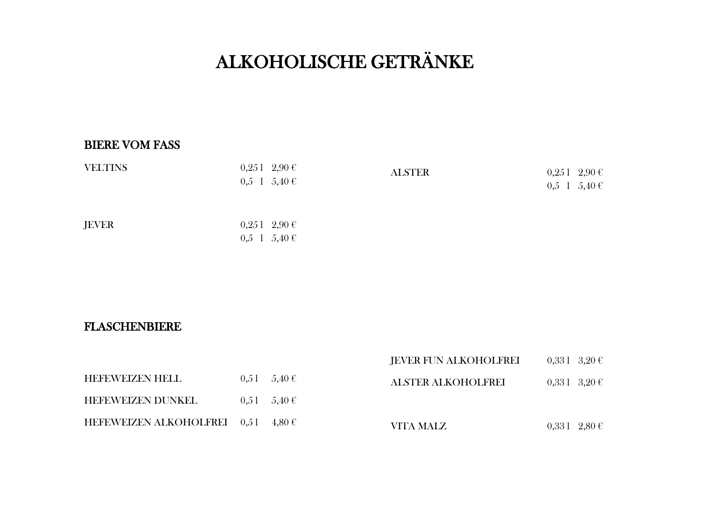# ALKOHOLISCHE GETRÄNKE

#### BIERE VOM FASS

| <b>VELTINS</b> | $0,251$ $2,90$ €<br>$0,5 \quad 1 \quad 5,40 \in$ | <b>ALSTER</b> | $0,251$ $2,90$ €<br>$0,5 \quad 1 \quad 5,40 \in$ |
|----------------|--------------------------------------------------|---------------|--------------------------------------------------|
| <b>JEVER</b>   | $0,251$ $2,90$ €<br>$0,5 \quad 1 \quad 5,40 \in$ |               |                                                  |

#### FLASCHENBIERE

|                                      |                   | <b>JEVER FUN ALKOHOLFREI</b> | $0.331 \quad 3.20 \in$ |
|--------------------------------------|-------------------|------------------------------|------------------------|
| <b>HEFEWEIZEN HELL</b>               | $0.51 - 5.40 \in$ | <b>ALSTER ALKOHOLFREI</b>    | $0,331 \quad 3,20 \in$ |
| <b>HEFEWEIZEN DUNKEL</b>             | $0.51 - 5.40 \in$ |                              |                        |
| HEFEWEIZEN ALKOHOLFREI $0,51$ 4,80 € |                   | VITA MALZ                    | $0,331 \quad 2,80 \in$ |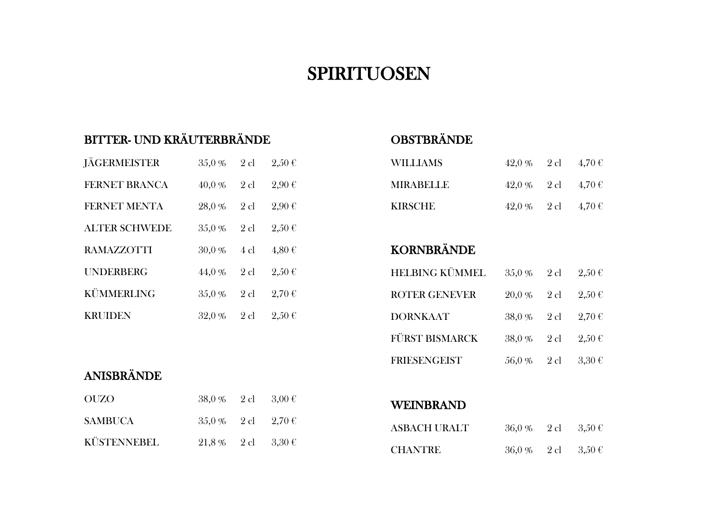## SPIRITUOSEN

## BITTER- UND KRÄUTERBRÄNDE

| <b>JÄGERMEISTER</b>  | 35,0%  | $2$ cl    | $2,50 \in$ |
|----------------------|--------|-----------|------------|
| <b>FERNET BRANCA</b> | 40,0%  | $2$ cl    | 2,90€      |
| <b>FERNET MENTA</b>  | 28,0%  | $2$ cl    | 2,90€      |
| <b>ALTER SCHWEDE</b> | 35,0%  | $2$ cl    | $2.50 \in$ |
| <b>RAMAZZOTTI</b>    | 30,0%  | $4 \,$ cl | $4.80 \in$ |
| <b>UNDERBERG</b>     | 44,0%  | $2$ cl    | $2.50 \in$ |
| KÜMMERLING           | 35,0 % | $2$ cl    | 2,70€      |
| <b>KRUIDEN</b>       | 32,0 % | $2$ cl    | $2.50 \in$ |

## ANISBRÄNDE

| <b>OUZO</b>        | $38,0\%$ 2 cl $3,00 \text{ }\in$                |  |
|--------------------|-------------------------------------------------|--|
| <b>SAMBUCA</b>     | $35.0\%$ 2 cl $2.70\text{ }\in$                 |  |
| <b>KÜSTENNEBEL</b> | $21.8\%$ $2 \text{ cl}$ $3.30 \text{ }\text{C}$ |  |

## **OBSTBRÄNDE**

| WILLIAMS         | $42,0\%$ 2 cl $4,70 \text{ }\mathcal{C}$ |  |
|------------------|------------------------------------------|--|
| <b>MIRABELLE</b> | $42.0\%$ 2 cl $4.70\text{ }\in$          |  |
| <b>KIRSCHE</b>   | $42.0\%$ 2 cl $4.70\text{ }\text{C}$     |  |

## KORNBRÄNDE

| <b>HELBING KÜMMEL</b> | $35.0\%$ 2 cl                       | $2.50 \in$          |
|-----------------------|-------------------------------------|---------------------|
| <b>ROTER GENEVER</b>  | $20,0\%$ 2 cl $2,50 \text{ }\in$    |                     |
| <b>DORNKAAT</b>       | $38,0\%$ 2 cl $2,70 \text{ }\infty$ |                     |
| FÜRST BISMARCK        | $38,0\%$ 2 cl $2,50 \text{ }\infty$ |                     |
| <b>FRIESENGEIST</b>   | 56,0 % 2 cl                         | $3.30 \text{ } \in$ |

WEINBRAND

| <b>ASBACH URALT</b> | $36.0\%$ 2 cl $3.50\text{ }\in$ |  |
|---------------------|---------------------------------|--|
| <b>CHANTRE</b>      | $36.0\%$ 2 cl $3.50\text{ }\in$ |  |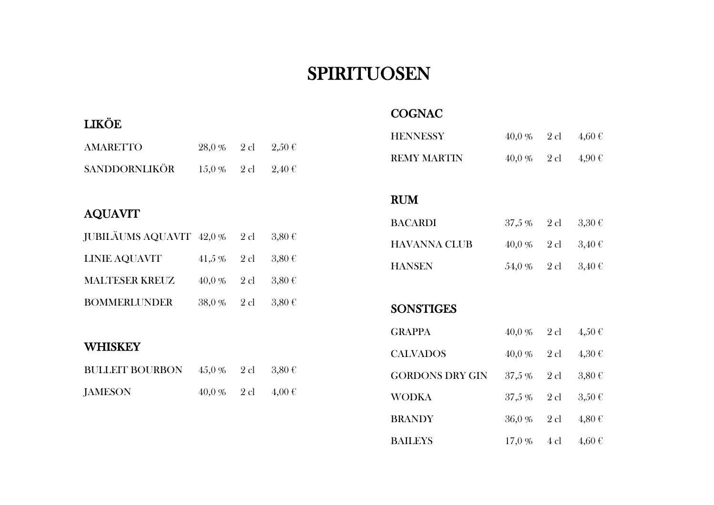## SPIRITUOSEN

### LIKÖE

| <b>COGNAC</b> |
|---------------|
|---------------|

| <b>AMARETTO</b> | $28.0\%$ $2 \text{ cl}$ $2.50 \text{ }\text{C}$ |  |
|-----------------|-------------------------------------------------|--|
| SANDDORNLIKÖR   | $15.0\%$ 2 cl $2.40\text{ }\in$                 |  |

## AQUAVIT

| JUBILÄUMS AQUAVIT $42.0\%$ 2 cl $3.80\text{ }\in$ |                                  |  |
|---------------------------------------------------|----------------------------------|--|
| LINIE AQUAVIT                                     | 41,5 % 2 cl 3,80 €               |  |
| <b>MALTESER KREUZ</b>                             | $40,0\%$ 2 cl $3,80 \text{ }\in$ |  |
| <b>BOMMERLUNDER</b>                               | $38,0\%$ 2 cl $3,80 \text{ }\in$ |  |

#### **WHISKEY**

| BULLEIT BOURBON $45.0\%$ 2 cl $3.80\text{ }\in$ |                                 |  |
|-------------------------------------------------|---------------------------------|--|
| <b>JAMESON</b>                                  | $40.0\%$ 2 cl $4.00\text{ }\in$ |  |

| <b>HENNESSY</b>        | 40,0 % | 2 cl   | $4,60 \in$      |
|------------------------|--------|--------|-----------------|
| <b>REMY MARTIN</b>     | 40,0 % |        | 2 cl $4,90 \in$ |
|                        |        |        |                 |
| <b>RUM</b>             |        |        |                 |
| <b>BACARDI</b>         | 37,5 % | $2$ cl | $3,30 \in$      |
| <b>HAVANNA CLUB</b>    | 40,0 % | 2 cl   | $3,40 \in$      |
| <b>HANSEN</b>          | 54,0 % | $2$ cl | $3,40 \in$      |
|                        |        |        |                 |
| <b>SONSTIGES</b>       |        |        |                 |
|                        |        |        |                 |
| <b>GRAPPA</b>          | 40,0 % | $2$ cl | $4,50 \in$      |
| <b>CALVADOS</b>        | 40,0%  | $2$ cl | $4,30 \in$      |
| <b>GORDONS DRY GIN</b> | 37,5 % | $2$ cl | $3,80 \in$      |
| <b>WODKA</b>           | 37,5 % | $2$ cl | $3,50 \in$      |
| <b>BRANDY</b>          | 36,0 % | $2$ cl | $4,80 \in$      |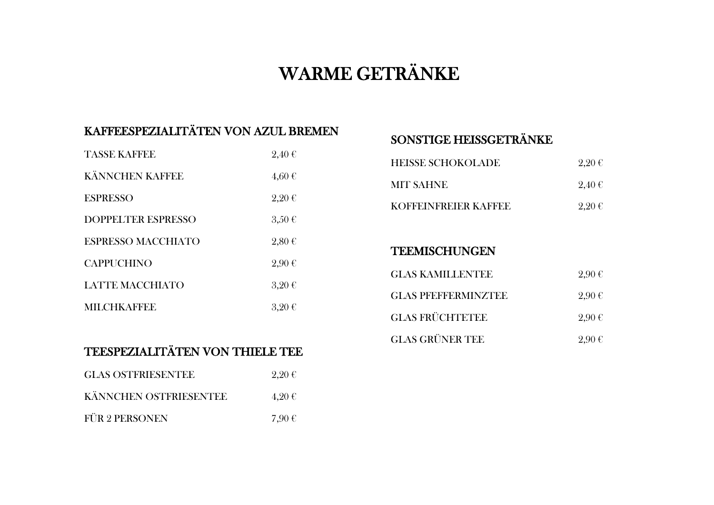# WARME GETRÄNKE

## KAFFEESPEZIALITÄTEN VON AZUL BREMEN

| <b>TASSE KAFFEE</b>       | 2,40€               |
|---------------------------|---------------------|
| <b>KÄNNCHEN KAFFEE</b>    | $4,60 \in$          |
| <b>ESPRESSO</b>           | 2,20€               |
| <b>DOPPELTER ESPRESSO</b> | $3,50 \in$          |
| <b>ESPRESSO MACCHIATO</b> | $2,80 \in$          |
| <b>CAPPUCHINO</b>         | 2,90€               |
| <b>LATTE MACCHIATO</b>    | $3,20 \in$          |
| <b>MILCHKAFFEE</b>        | $3.20 \text{ } \in$ |

## SONSTIGE HEISSGETRÄNKE

| <b>HEISSE SCHOKOLADE</b> | 2,20€ |
|--------------------------|-------|
| <b>MIT SAHNE</b>         | 2,40€ |
| KOFFEINFREIER KAFFEE     | 2,20€ |

#### **TEEMISCHUNGEN**

| <b>GLAS KAMILLENTEE</b>    | 2.90€ |
|----------------------------|-------|
| <b>GLAS PFEFFERMINZTEE</b> | 2.90€ |
| <b>GLAS FRÜCHTETEE</b>     | 2,90€ |
| <b>GLAS GRÜNER TEE</b>     | 2.90€ |

## TEESPEZIALITÄTEN VON THIELE TEE

| <b>GLAS OSTFRIESENTEE</b> | $2,20 \in$ |
|---------------------------|------------|
| KÄNNCHEN OSTFRIESENTEE    | 4,20€      |
| <b>FÜR 2 PERSONEN</b>     | 7,90€      |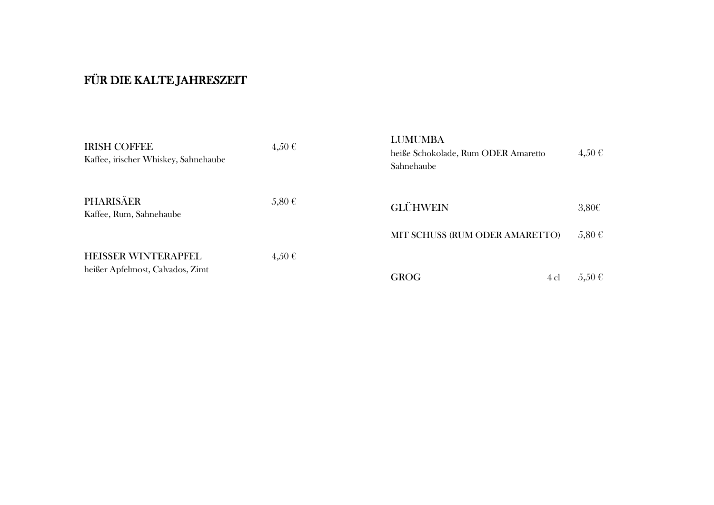## FÜR DIE KALTE JAHRESZEIT

| <b>IRISH COFFEE</b><br>Kaffee, irischer Whiskey, Sahnehaube    | $4,50 \in$ | <b>LUMUMBA</b><br>heiße Schokolade, Rum ODER Amaretto<br>Sahnehaube | $4,50 \in$               |
|----------------------------------------------------------------|------------|---------------------------------------------------------------------|--------------------------|
| PHARISÄER<br>Kaffee, Rum, Sahnehaube                           | $5,80 \in$ | <b>GLÜHWEIN</b>                                                     | $3,80 \in$               |
| <b>HEISSER WINTERAPFEL</b><br>heißer Apfelmost, Calvados, Zimt | 4,50€      | MIT SCHUSS (RUM ODER AMARETTO)<br><b>GROG</b><br>4 cl               | $5,80 \in$<br>$5,50 \in$ |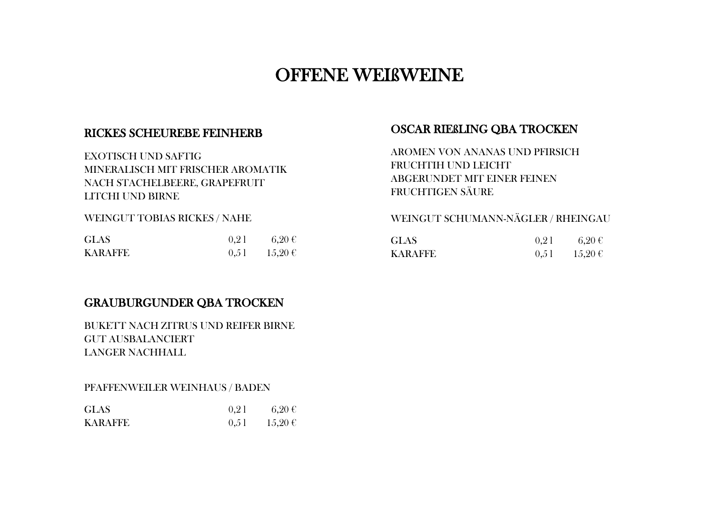## OFFENE WEIßWEINE

### RICKES SCHEUREBE FEINHERB

EXOTISCH UND SAFTIG MINERALISCH MIT FRISCHER AROMATIK NACH STACHELBEERE, GRAPEFRUIT LITCHI UND BIRNE

WEINGUT TOBIAS RICKES / NAHE

| <b>GLAS</b>    | 0.21 | $-6.20 \in$ |
|----------------|------|-------------|
| <b>KARAFFE</b> | 0.51 | $15,20 \in$ |

### OSCAR RIEßLING QBA TROCKEN

AROMEN VON ANANAS UND PFIRSICH FRUCHTIH UND LEICHT ABGERUNDET MIT EINER FEINEN FRUCHTIGEN SÄURE

#### WEINGUT SCHUMANN-NÄGLER / RHEINGAU

| <b>GLAS</b>    | 0.21 | $6.20 \text{ } \in$ |
|----------------|------|---------------------|
| <b>KARAFFE</b> | 0,51 | $15,20 \in$         |

### GRAUBURGUNDER QBA TROCKEN

BUKETT NACH ZITRUS UND REIFER BIRNE GUT AUSBALANCIERT LANGER NACHHALL

#### PFAFFENWEILER WEINHAUS / BADEN

| <b>GLAS</b>    | 0.21 | $6.20 \in$  |
|----------------|------|-------------|
| <b>KARAFFE</b> | 0,51 | $15,20 \in$ |